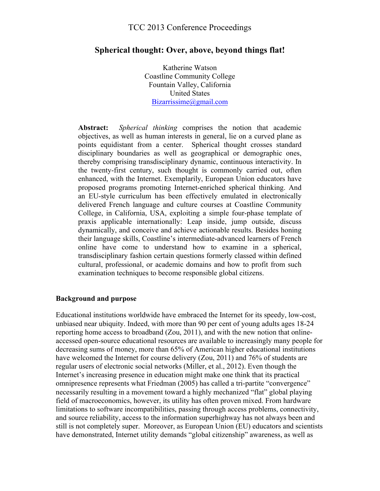### **Spherical thought: Over, above, beyond things flat!**

Katherine Watson Coastline Community College Fountain Valley, California United States Bizarrissime@gmail.com

**Abstract:** *Spherical thinking* comprises the notion that academic objectives, as well as human interests in general, lie on a curved plane as points equidistant from a center. Spherical thought crosses standard disciplinary boundaries as well as geographical or demographic ones, thereby comprising transdisciplinary dynamic, continuous interactivity. In the twenty-first century, such thought is commonly carried out, often enhanced, with the Internet. Exemplarily, European Union educators have proposed programs promoting Internet-enriched spherical thinking. And an EU-style curriculum has been effectively emulated in electronically delivered French language and culture courses at Coastline Community College, in California, USA, exploiting a simple four-phase template of praxis applicable internationally: Leap inside, jump outside, discuss dynamically, and conceive and achieve actionable results. Besides honing their language skills, Coastline's intermediate-advanced learners of French online have come to understand how to examine in a spherical, transdisciplinary fashion certain questions formerly classed within defined cultural, professional, or academic domains and how to profit from such examination techniques to become responsible global citizens.

#### **Background and purpose**

Educational institutions worldwide have embraced the Internet for its speedy, low-cost, unbiased near ubiquity. Indeed, with more than 90 per cent of young adults ages 18-24 reporting home access to broadband (Zou, 2011), and with the new notion that onlineaccessed open-source educational resources are available to increasingly many people for decreasing sums of money, more than 65% of American higher educational institutions have welcomed the Internet for course delivery (Zou, 2011) and 76% of students are regular users of electronic social networks (Miller, et al., 2012). Even though the Internet's increasing presence in education might make one think that its practical omnipresence represents what Friedman (2005) has called a tri-partite "convergence" necessarily resulting in a movement toward a highly mechanized "flat" global playing field of macroeconomics, however, its utility has often proven mixed. From hardware limitations to software incompatibilities, passing through access problems, connectivity, and source reliability, access to the information superhighway has not always been and still is not completely super. Moreover, as European Union (EU) educators and scientists have demonstrated, Internet utility demands "global citizenship" awareness, as well as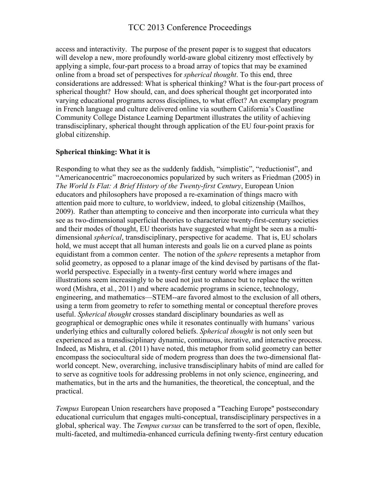access and interactivity. The purpose of the present paper is to suggest that educators will develop a new, more profoundly world-aware global citizenry most effectively by applying a simple, four-part process to a broad array of topics that may be examined online from a broad set of perspectives for *spherical thought*. To this end, three considerations are addressed: What is spherical thinking? What is the four-part process of spherical thought? How should, can, and does spherical thought get incorporated into varying educational programs across disciplines, to what effect? An exemplary program in French language and culture delivered online via southern California's Coastline Community College Distance Learning Department illustrates the utility of achieving transdisciplinary, spherical thought through application of the EU four-point praxis for global citizenship.

### **Spherical thinking: What it is**

Responding to what they see as the suddenly faddish, "simplistic", "reductionist", and "Americanocentric" macroeconomics popularized by such writers as Friedman (2005) in *The World Is Flat: A Brief History of the Twenty-first Century*, European Union educators and philosophers have proposed a re-examination of things macro with attention paid more to culture, to worldview, indeed, to global citizenship (Mailhos, 2009). Rather than attempting to conceive and then incorporate into curricula what they see as two-dimensional superficial theories to characterize twenty-first-century societies and their modes of thought, EU theorists have suggested what might be seen as a multidimensional *spherical*, transdisciplinary, perspective for academe. That is, EU scholars hold, we must accept that all human interests and goals lie on a curved plane as points equidistant from a common center. The notion of the *sphere* represents a metaphor from solid geometry, as opposed to a planar image of the kind devised by partisans of the flatworld perspective. Especially in a twenty-first century world where images and illustrations seem increasingly to be used not just to enhance but to replace the written word (Mishra, et al., 2011) and where academic programs in science, technology, engineering, and mathematics—STEM--are favored almost to the exclusion of all others, using a term from geometry to refer to something mental or conceptual therefore proves useful. *Spherical thought* crosses standard disciplinary boundaries as well as geographical or demographic ones while it resonates continually with humans' various underlying ethics and culturally colored beliefs. *Spherical thought* is not only seen but experienced as a transdisciplinary dynamic, continuous, iterative, and interactive process. Indeed, as Mishra, et al. (2011) have noted, this metaphor from solid geometry can better encompass the sociocultural side of modern progress than does the two-dimensional flatworld concept. New, overarching, inclusive transdisciplinary habits of mind are called for to serve as cognitive tools for addressing problems in not only science, engineering, and mathematics, but in the arts and the humanities, the theoretical, the conceptual, and the practical.

*Tempus* European Union researchers have proposed a "Teaching Europe" postsecondary educational curriculum that engages multi-conceptual, transdisciplinary perspectives in a global, spherical way. The *Tempus cursus* can be transferred to the sort of open, flexible, multi-faceted, and multimedia-enhanced curricula defining twenty-first century education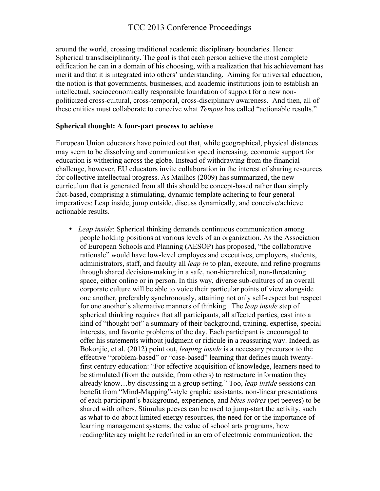around the world, crossing traditional academic disciplinary boundaries. Hence: Spherical transdisciplinarity. The goal is that each person achieve the most complete edification he can in a domain of his choosing, with a realization that his achievement has merit and that it is integrated into others' understanding. Aiming for universal education, the notion is that governments, businesses, and academic institutions join to establish an intellectual, socioeconomically responsible foundation of support for a new nonpoliticized cross-cultural, cross-temporal, cross-disciplinary awareness. And then, all of these entities must collaborate to conceive what *Tempus* has called "actionable results."

#### **Spherical thought: A four-part process to achieve**

European Union educators have pointed out that, while geographical, physical distances may seem to be dissolving and communication speed increasing, economic support for education is withering across the globe. Instead of withdrawing from the financial challenge, however, EU educators invite collaboration in the interest of sharing resources for collective intellectual progress. As Mailhos (2009) has summarized, the new curriculum that is generated from all this should be concept-based rather than simply fact-based, comprising a stimulating, dynamic template adhering to four general imperatives: Leap inside, jump outside, discuss dynamically, and conceive/achieve actionable results.

• *Leap inside*: Spherical thinking demands continuous communication among people holding positions at various levels of an organization. As the Association of European Schools and Planning (AESOP) has proposed, "the collaborative rationale" would have low-level employes and executives, employers, students, administrators, staff, and faculty all *leap in* to plan, execute, and refine programs through shared decision-making in a safe, non-hierarchical, non-threatening space, either online or in person. In this way, diverse sub-cultures of an overall corporate culture will be able to voice their particular points of view alongside one another, preferably synchronously, attaining not only self-respect but respect for one another's alternative manners of thinking. The *leap inside* step of spherical thinking requires that all participants, all affected parties, cast into a kind of "thought pot" a summary of their background, training, expertise, special interests, and favorite problems of the day. Each participant is encouraged to offer his statements without judgment or ridicule in a reassuring way. Indeed, as Bokonjic, et al. (2012) point out, *leaping inside* is a necessary precursor to the effective "problem-based" or "case-based" learning that defines much twentyfirst century education: "For effective acquisition of knowledge, learners need to be stimulated (from the outside, from others) to restructure information they already know…by discussing in a group setting." Too, *leap inside* sessions can benefit from "Mind-Mapping"-style graphic assistants, non-linear presentations of each participant's background, experience, and *bêtes noires* (pet peeves) to be shared with others. Stimulus peeves can be used to jump-start the activity, such as what to do about limited energy resources, the need for or the importance of learning management systems, the value of school arts programs, how reading/literacy might be redefined in an era of electronic communication, the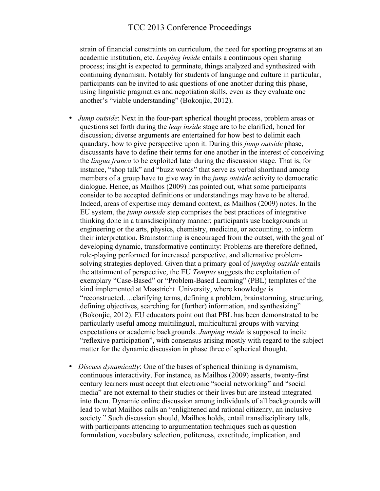strain of financial constraints on curriculum, the need for sporting programs at an academic institution, etc. *Leaping inside* entails a continuous open sharing process; insight is expected to germinate, things analyzed and synthesized with continuing dynamism. Notably for students of language and culture in particular, participants can be invited to ask questions of one another during this phase, using linguistic pragmatics and negotiation skills, even as they evaluate one another's "viable understanding" (Bokonjic, 2012).

- *Jump outside*: Next in the four-part spherical thought process, problem areas or questions set forth during the *leap inside* stage are to be clarified, honed for discussion; diverse arguments are entertained for how best to delimit each quandary, how to give perspective upon it. During this *jump outside* phase, discussants have to define their terms for one another in the interest of conceiving the *lingua franca* to be exploited later during the discussion stage. That is, for instance, "shop talk" and "buzz words" that serve as verbal shorthand among members of a group have to give way in the *jump outside* activity to democratic dialogue. Hence, as Mailhos (2009) has pointed out, what some participants consider to be accepted definitions or understandings may have to be altered. Indeed, areas of expertise may demand context, as Mailhos (2009) notes. In the EU system, the *jump outside* step comprises the best practices of integrative thinking done in a transdisciplinary manner; participants use backgrounds in engineering or the arts, physics, chemistry, medicine, or accounting, to inform their interpretation. Brainstorming is encouraged from the outset, with the goal of developing dynamic, transformative continuity: Problems are therefore defined, role-playing performed for increased perspective, and alternative problemsolving strategies deployed. Given that a primary goal of *jumping outside* entails the attainment of perspective, the EU *Tempus* suggests the exploitation of exemplary "Case-Based" or "Problem-Based Learning" (PBL) templates of the kind implemented at Maastricht University, where knowledge is "reconstructed….clarifying terms, defining a problem, brainstorming, structuring, defining objectives, searching for (further) information, and synthesizing" (Bokonjic, 2012). EU educators point out that PBL has been demonstrated to be particularly useful among multilingual, multicultural groups with varying expectations or academic backgrounds. *Jumping inside* is supposed to incite "reflexive participation", with consensus arising mostly with regard to the subject matter for the dynamic discussion in phase three of spherical thought.
- *Discuss dynamically*: One of the bases of spherical thinking is dynamism, continuous interactivity. For instance, as Mailhos (2009) asserts, twenty-first century learners must accept that electronic "social networking" and "social media" are not external to their studies or their lives but are instead integrated into them. Dynamic online discussion among individuals of all backgrounds will lead to what Mailhos calls an "enlightened and rational citizenry, an inclusive society." Such discussion should, Mailhos holds, entail transdisciplinary talk, with participants attending to argumentation techniques such as question formulation, vocabulary selection, politeness, exactitude, implication, and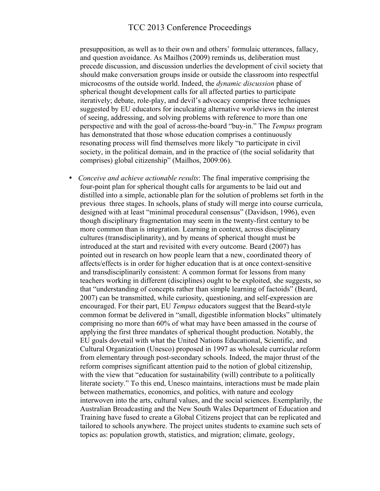presupposition, as well as to their own and others' formulaic utterances, fallacy, and question avoidance. As Mailhos (2009) reminds us, deliberation must precede discussion, and discussion underlies the development of civil society that should make conversation groups inside or outside the classroom into respectful microcosms of the outside world. Indeed, the *dynamic discussion* phase of spherical thought development calls for all affected parties to participate iteratively; debate, role-play, and devil's advocacy comprise three techniques suggested by EU educators for inculcating alternative worldviews in the interest of seeing, addressing, and solving problems with reference to more than one perspective and with the goal of across-the-board "buy-in." The *Tempus* program has demonstrated that those whose education comprises a continuously resonating process will find themselves more likely "to participate in civil society, in the political domain, and in the practice of (the social solidarity that comprises) global citizenship" (Mailhos, 2009:06).

• *Conceive and achieve actionable results*: The final imperative comprising the four-point plan for spherical thought calls for arguments to be laid out and distilled into a simple, actionable plan for the solution of problems set forth in the previous three stages. In schools, plans of study will merge into course curricula, designed with at least "minimal procedural consensus" (Davidson, 1996), even though disciplinary fragmentation may seem in the twenty-first century to be more common than is integration. Learning in context, across disciplinary cultures (transdisciplinarity), and by means of spherical thought must be introduced at the start and revisited with every outcome. Beard (2007) has pointed out in research on how people learn that a new, coordinated theory of affects/effects is in order for higher education that is at once context-sensitive and transdisciplinarily consistent: A common format for lessons from many teachers working in different (disciplines) ought to be exploited, she suggests, so that "understanding of concepts rather than simple learning of factoids" (Beard, 2007) can be transmitted, while curiosity, questioning, and self-expression are encouraged. For their part, EU *Tempus* educators suggest that the Beard-style common format be delivered in "small, digestible information blocks" ultimately comprising no more than 60% of what may have been amassed in the course of applying the first three mandates of spherical thought production. Notably, the EU goals dovetail with what the United Nations Educational, Scientific, and Cultural Organization (Unesco) proposed in 1997 as wholesale curricular reform from elementary through post-secondary schools. Indeed, the major thrust of the reform comprises significant attention paid to the notion of global citizenship, with the view that "education for sustainability (will) contribute to a politically literate society." To this end, Unesco maintains, interactions must be made plain between mathematics, economics, and politics, with nature and ecology interwoven into the arts, cultural values, and the social sciences. Exemplarily, the Australian Broadcasting and the New South Wales Department of Education and Training have fused to create a Global Citizens project that can be replicated and tailored to schools anywhere. The project unites students to examine such sets of topics as: population growth, statistics, and migration; climate, geology,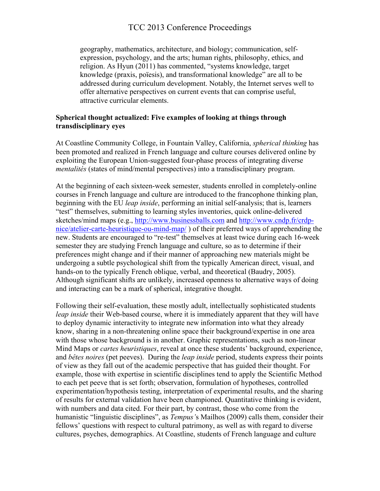geography, mathematics, architecture, and biology; communication, selfexpression, psychology, and the arts; human rights, philosophy, ethics, and religion. As Hyun (2011) has commented, "systems knowledge, target knowledge (praxis, poïesis), and transformational knowledge" are all to be addressed during curriculum development. Notably, the Internet serves well to offer alternative perspectives on current events that can comprise useful, attractive curricular elements.

### **Spherical thought actualized: Five examples of looking at things through transdisciplinary eyes**

At Coastline Community College, in Fountain Valley, California, *spherical thinking* has been promoted and realized in French language and culture courses delivered online by exploiting the European Union-suggested four-phase process of integrating diverse *mentalités* (states of mind/mental perspectives) into a transdisciplinary program.

At the beginning of each sixteen-week semester, students enrolled in completely-online courses in French language and culture are introduced to the francophone thinking plan, beginning with the EU *leap inside*, performing an initial self-analysis; that is, learners "test" themselves, submitting to learning styles inventories, quick online-delivered sketches/mind maps (e.g., http://www.businessballs.com and http://www.cndp.fr/crdpnice/atelier-carte-heuristique-ou-mind-map/ ) of their preferred ways of apprehending the new. Students are encouraged to "re-test" themselves at least twice during each 16-week semester they are studying French language and culture, so as to determine if their preferences might change and if their manner of approaching new materials might be undergoing a subtle psychological shift from the typically American direct, visual, and hands-on to the typically French oblique, verbal, and theoretical (Baudry, 2005). Although significant shifts are unlikely, increased openness to alternative ways of doing and interacting can be a mark of spherical, integrative thought.

Following their self-evaluation, these mostly adult, intellectually sophisticated students *leap inside* their Web-based course, where it is immediately apparent that they will have to deploy dynamic interactivity to integrate new information into what they already know, sharing in a non-threatening online space their background/expertise in one area with those whose background is in another. Graphic representations, such as non-linear Mind Maps or *cartes heuristiques*, reveal at once these students' background, experience, and *bêtes noires* (pet peeves). During the *leap inside* period, students express their points of view as they fall out of the academic perspective that has guided their thought. For example, those with expertise in scientific disciplines tend to apply the Scientific Method to each pet peeve that is set forth; observation, formulation of hypotheses, controlled experimentation/hypothesis testing, interpretation of experimental results, and the sharing of results for external validation have been championed. Quantitative thinking is evident, with numbers and data cited. For their part, by contrast, those who come from the humanistic "linguistic disciplines", as *Tempus'*s Mailhos (2009) calls them, consider their fellows' questions with respect to cultural patrimony, as well as with regard to diverse cultures, psyches, demographics. At Coastline, students of French language and culture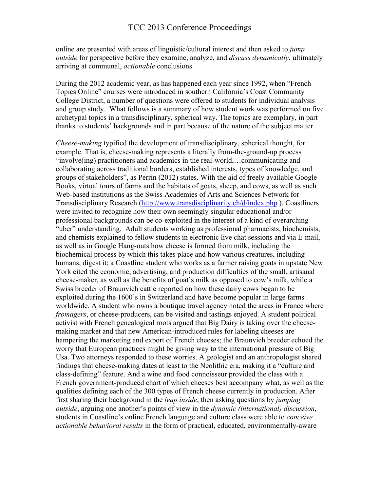online are presented with areas of linguistic/cultural interest and then asked to *jump outside* for perspective before they examine, analyze, and *discuss dynamically*, ultimately arriving at communal, *actionable* conclusions.

During the 2012 academic year, as has happened each year since 1992, when "French Topics Online" courses were introduced in southern California's Coast Community College District, a number of questions were offered to students for individual analysis and group study. What follows is a summary of how student work was performed on five archetypal topics in a transdisciplinary, spherical way. The topics are exemplary, in part thanks to students' backgrounds and in part because of the nature of the subject matter.

*Cheese-making* typified the development of transdisciplinary, spherical thought, for example. That is, cheese-making represents a literally from-the-ground-up process "involve(ing) practitioners and academics in the real-world,…communicating and collaborating across traditional borders, established interests, types of knowledge, and groups of stakeholders", as Perrin (2012) states. With the aid of freely available Google Books, virtual tours of farms and the habitats of goats, sheep, and cows, as well as such Web-based institutions as the Swiss Academies of Arts and Sciences Network for Transdisciplinary Research (http://www.transdisciplinarity.ch/d/index.php ), Coastliners were invited to recognize how their own seemingly singular educational and/or professional backgrounds can be co-exploited in the interest of a kind of overarching "uber" understanding. Adult students working as professional pharmacists, biochemists, and chemists explained to fellow students in electronic live chat sessions and via E-mail, as well as in Google Hang-outs how cheese is formed from milk, including the biochemical process by which this takes place and how various creatures, including humans, digest it; a Coastline student who works as a farmer raising goats in upstate New York cited the economic, advertising, and production difficulties of the small, artisanal cheese-maker, as well as the benefits of goat's milk as opposed to cow's milk, while a Swiss breeder of Braunvieh cattle reported on how these dairy cows began to be exploited during the 1600's in Switzerland and have become popular in large farms worldwide. A student who owns a boutique travel agency noted the areas in France where *fromagers*, or cheese-producers, can be visited and tastings enjoyed. A student political activist with French genealogical roots argued that Big Dairy is taking over the cheesemaking market and that new American-introduced rules for labeling cheeses are hampering the marketing and export of French cheeses; the Braunvieh breeder echoed the worry that European practices might be giving way to the international pressure of Big Usa. Two attorneys responded to these worries. A geologist and an anthropologist shared findings that cheese-making dates at least to the Neolithic era, making it a "culture and class-defining" feature. And a wine and food connoisseur provided the class with a French government-produced chart of which cheeses best accompany what, as well as the qualities defining each of the 300 types of French cheese currently in production. After first sharing their background in the *leap inside*, then asking questions by *jumping outside*, arguing one another's points of view in the *dynamic (international) discussion*, students in Coastline's online French language and culture class were able to *conceive actionable behavioral results* in the form of practical, educated, environmentally-aware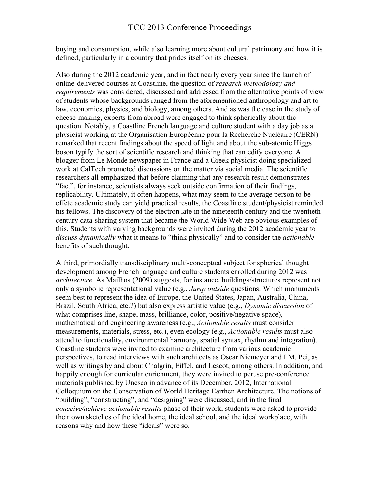buying and consumption, while also learning more about cultural patrimony and how it is defined, particularly in a country that prides itself on its cheeses.

Also during the 2012 academic year, and in fact nearly every year since the launch of online-delivered courses at Coastline, the question of *research methodology and requirements* was considered, discussed and addressed from the alternative points of view of students whose backgrounds ranged from the aforementioned anthropology and art to law, economics, physics, and biology, among others. And as was the case in the study of cheese-making, experts from abroad were engaged to think spherically about the question. Notably, a Coastline French language and culture student with a day job as a physicist working at the Organisation Européenne pour la Recherche Nucléaire (CERN) remarked that recent findings about the speed of light and about the sub-atomic Higgs boson typify the sort of scientific research and thinking that can edify everyone. A blogger from Le Monde newspaper in France and a Greek physicist doing specialized work at CalTech promoted discussions on the matter via social media. The scientific researchers all emphasized that before claiming that any research result demonstrates "fact", for instance, scientists always seek outside confirmation of their findings, replicability. Ultimately, it often happens, what may seem to the average person to be effete academic study can yield practical results, the Coastline student/physicist reminded his fellows. The discovery of the electron late in the nineteenth century and the twentiethcentury data-sharing system that became the World Wide Web are obvious examples of this. Students with varying backgrounds were invited during the 2012 academic year to *discuss dynamically* what it means to "think physically" and to consider the *actionable* benefits of such thought.

A third, primordially transdisciplinary multi-conceptual subject for spherical thought development among French language and culture students enrolled during 2012 was *architecture.* As Mailhos (2009) suggests, for instance, buildings/structures represent not only a symbolic representational value (e.g., *Jump outside* questions: Which monuments seem best to represent the idea of Europe, the United States, Japan, Australia, China, Brazil, South Africa, etc.?) but also express artistic value (e.g., *Dynamic discussion* of what comprises line, shape, mass, brilliance, color, positive/negative space), mathematical and engineering awareness (e.g., *Actionable results* must consider measurements, materials, stress, etc.), even ecology (e.g., *Actionable results* must also attend to functionality, environmental harmony, spatial syntax, rhythm and integration). Coastline students were invited to examine architecture from various academic perspectives, to read interviews with such architects as Oscar Niemeyer and I.M. Pei, as well as writings by and about Chalgrin, Eiffel, and Lescot, among others. In addition, and happily enough for curricular enrichment, they were invited to peruse pre-conference materials published by Unesco in advance of its December, 2012, International Colloquium on the Conservation of World Heritage Earthen Architecture. The notions of "building", "constructing", and "designing" were discussed, and in the final *conceive/achieve actionable results* phase of their work, students were asked to provide their own sketches of the ideal home, the ideal school, and the ideal workplace, with reasons why and how these "ideals" were so.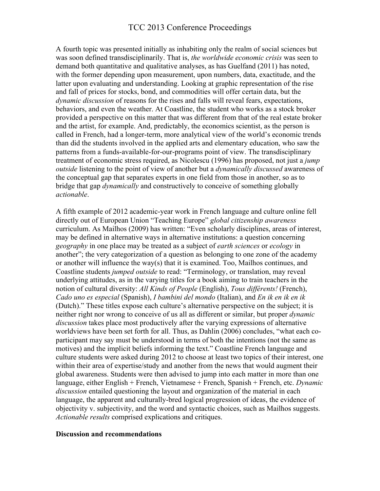A fourth topic was presented initially as inhabiting only the realm of social sciences but was soon defined transdisciplinarily. That is, *the worldwide economic crisis* was seen to demand both quantitative and qualitative analyses, as has Guelfand (2011) has noted, with the former depending upon measurement, upon numbers, data, exactitude, and the latter upon evaluating and understanding. Looking at graphic representation of the rise and fall of prices for stocks, bond, and commodities will offer certain data, but the *dynamic discussion* of reasons for the rises and falls will reveal fears, expectations, behaviors, and even the weather. At Coastline, the student who works as a stock broker provided a perspective on this matter that was different from that of the real estate broker and the artist, for example. And, predictably, the economics scientist, as the person is called in French, had a longer-term, more analytical view of the world's economic trends than did the students involved in the applied arts and elementary education, who saw the patterns from a funds-available-for-our-programs point of view. The transdisciplinary treatment of economic stress required, as Nicolescu (1996) has proposed, not just a *jump outside* listening to the point of view of another but a *dynamically discussed* awareness of the conceptual gap that separates experts in one field from those in another, so as to bridge that gap *dynamically* and constructively to conceive of something globally *actionable*.

A fifth example of 2012 academic-year work in French language and culture online fell directly out of European Union "Teaching Europe" *global citizenship awareness* curriculum. As Mailhos (2009) has written: "Even scholarly disciplines, areas of interest, may be defined in alternative ways in alternative institutions: a question concerning *geography* in one place may be treated as a subject of *earth sciences* or *ecology* in another"; the very categorization of a question as belonging to one zone of the academy or another will influence the way(s) that it is examined. Too, Mailhos continues, and Coastline students *jumped outside* to read: "Terminology, or translation, may reveal underlying attitudes, as in the varying titles for a book aiming to train teachers in the notion of cultural diversity: *All Kinds of People* (English), *Tous différents!* (French), *Cado uno es especial* (Spanish), *I bambini del mondo* (Italian), and *En ik en ik en ik* (Dutch)." These titles expose each culture's alternative perspective on the subject; it is neither right nor wrong to conceive of us all as different or similar, but proper *dynamic discussion* takes place most productively after the varying expressions of alternative worldviews have been set forth for all. Thus, as Dahlin (2006) concludes, "what each coparticipant may say must be understood in terms of both the intentions (not the same as motives) and the implicit beliefs informing the text." Coastline French language and culture students were asked during 2012 to choose at least two topics of their interest, one within their area of expertise/study and another from the news that would augment their global awareness. Students were then advised to jump into each matter in more than one language, either English + French, Vietnamese + French, Spanish + French, etc. *Dynamic discussion* entailed questioning the layout and organization of the material in each language, the apparent and culturally-bred logical progression of ideas, the evidence of objectivity v. subjectivity, and the word and syntactic choices, such as Mailhos suggests. *Actionable results* comprised explications and critiques.

#### **Discussion and recommendations**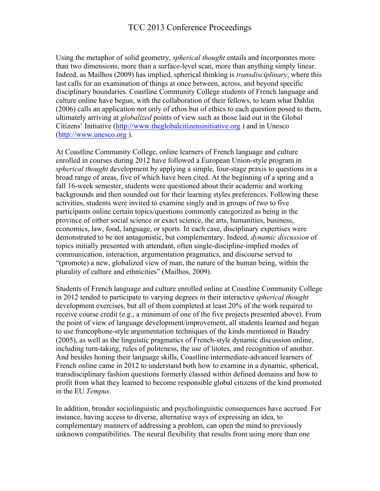Using the metaphor of solid geometry, *spherical thought* entails and incorporates more than two dimensions, more than a surface-level scan, more than anything simply linear. Indeed, as Mailhos (2009) has implied, spherical thinking is *transdisciplinary*, where this last calls for an examination of things at once between, across, and beyond specific disciplinary boundaries. Coastline Community College students of French language and culture online have begun, with the collaboration of their fellows, to learn what Dahlin (2006) calls an application not only of ethos but of ethics to each question posed to them, ultimately arriving at *globalized* points of view such as those laid out in the Global Citizens' Initiative (http://www.theglobalcitizensinitiative.org ) and in Unesco (http://www.unesco.org ).

At Coastline Community College, online learners of French language and culture enrolled in courses during 2012 have followed a European Union-style program in *spherical thought* development by applying a simple, four-stage praxis to questions in a broad range of areas, five of which have been cited. At the beginning of a spring and a fall 16-week semester, students were questioned about their academic and working backgrounds and then sounded out for their learning styles preferences. Following these activities, students were invited to examine singly and in groups of two to five participants online certain topics/questions commonly categorized as being in the province of either social science or exact science, the arts, humanities, business, economics, law, food, language, or sports. In each case, disciplinary expertises were demonstrated to be not antagonistic, but complementary. Indeed, *dynamic discussion* of topics initially presented with attendant, often single-discipline-implied modes of communication, interaction, argumentation pragmatics, and discourse served to "(promote) a new, globalized view of man, the nature of the human being, within the plurality of culture and ethnicities" (Mailhos, 2009).

Students of French language and culture enrolled online at Coastline Community College in 2012 tended to participate to varying degrees in their interactive *spherical thought* development exercises, but all of them completed at least 20% of the work required to receive course credit (e.g., a minimum of one of the five projects presented above). From the point of view of language development/improvement, all students learned and began to use francophone-style argumentation techniques of the kinds mentioned in Baudry (2005), as well as the linguistic pragmatics of French-style dynamic discussion online, including turn-taking, rules of politeness, the use of litotes, and recognition of another. And besides honing their language skills, Coastline intermediate-advanced learners of French online came in 2012 to understand both how to examine in a dynamic, spherical, transdisciplinary fashion questions formerly classed within defined domains and how to profit from what they learned to become responsible global citizens of the kind promoted in the EU *Tempus*.

In addition, broader sociolinguistic and psycholinguistic consequences have accrued. For instance, having access to diverse, alternative ways of expressing an idea, to complementary manners of addressing a problem, can open the mind to previously unknown compatibilities. The neural flexibility that results from using more than one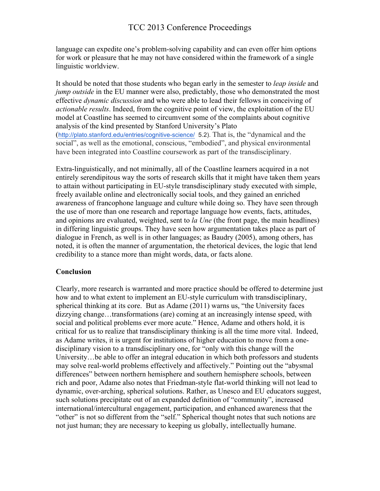language can expedite one's problem-solving capability and can even offer him options for work or pleasure that he may not have considered within the framework of a single linguistic worldview.

It should be noted that those students who began early in the semester to *leap inside* and *jump outside* in the EU manner were also, predictably, those who demonstrated the most effective *dynamic discussion* and who were able to lead their fellows in conceiving of *actionable results*. Indeed, from the cognitive point of view, the exploitation of the EU model at Coastline has seemed to circumvent some of the complaints about cognitive analysis of the kind presented by Stanford University's Plato (http://plato.stanford.edu/entries/cognitive-science/ 5.2). That is, the "dynamical and the social", as well as the emotional, conscious, "embodied", and physical environmental have been integrated into Coastline coursework as part of the transdisciplinary.

Extra-linguistically, and not minimally, all of the Coastline learners acquired in a not entirely serendipitous way the sorts of research skills that it might have taken them years to attain without participating in EU-style transdisciplinary study executed with simple, freely available online and electronically social tools, and they gained an enriched awareness of francophone language and culture while doing so. They have seen through the use of more than one research and reportage language how events, facts, attitudes, and opinions are evaluated, weighted, sent to *la Une* (the front page, the main headlines) in differing linguistic groups. They have seen how argumentation takes place as part of dialogue in French, as well is in other languages; as Baudry (2005), among others, has noted, it is often the manner of argumentation, the rhetorical devices, the logic that lend credibility to a stance more than might words, data, or facts alone.

### **Conclusion**

Clearly, more research is warranted and more practice should be offered to determine just how and to what extent to implement an EU-style curriculum with transdisciplinary, spherical thinking at its core. But as Adame (2011) warns us, "the University faces dizzying change…transformations (are) coming at an increasingly intense speed, with social and political problems ever more acute." Hence, Adame and others hold, it is critical for us to realize that transdisciplinary thinking is all the time more vital. Indeed, as Adame writes, it is urgent for institutions of higher education to move from a onedisciplinary vision to a transdisciplinary one, for "only with this change will the University…be able to offer an integral education in which both professors and students may solve real-world problems effectively and affectively." Pointing out the "abysmal differences" between northern hemisphere and southern hemisphere schools, between rich and poor, Adame also notes that Friedman-style flat-world thinking will not lead to dynamic, over-arching, spherical solutions. Rather, as Unesco and EU educators suggest, such solutions precipitate out of an expanded definition of "community", increased international/intercultural engagement, participation, and enhanced awareness that the "other" is not so different from the "self." Spherical thought notes that such notions are not just human; they are necessary to keeping us globally, intellectually humane.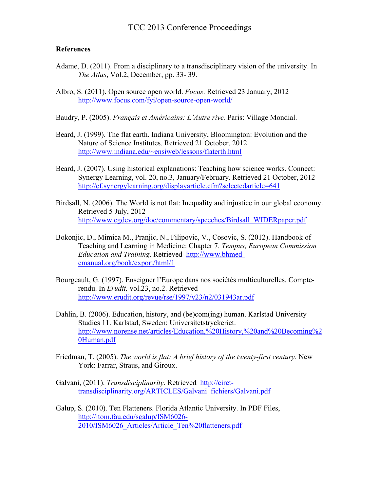#### **References**

- Adame, D. (2011). From a disciplinary to a transdisciplinary vision of the university. In *The Atlas*, Vol.2, December, pp. 33- 39.
- Albro, S. (2011). Open source open world. *Focus*. Retrieved 23 January, 2012 http://www.focus.com/fyi/open-source-open-world/

Baudry, P. (2005). *Français et Américains: L'Autre rive.* Paris: Village Mondial.

- Beard, J. (1999). The flat earth. Indiana University, Bloomington: Evolution and the Nature of Science Institutes. Retrieved 21 October, 2012 http://www.indiana.edu/~ensiweb/lessons/flaterth.html
- Beard, J. (2007). Using historical explanations: Teaching how science works. Connect: Synergy Learning, vol. 20, no.3, January/February. Retrieved 21 October, 2012 http://cf.synergylearning.org/displayarticle.cfm?selectedarticle=641
- Birdsall, N. (2006). The World is not flat: Inequality and injustice in our global economy. Retrieved 5 July, 2012 http://www.cgdev.org/doc/commentary/speeches/Birdsall\_WIDERpaper.pdf
- Bokonjic, D., Mimica M., Pranjic, N., Filipovic, V., Cosovic, S. (2012). Handbook of Teaching and Learning in Medicine: Chapter 7. *Tempus, European Commission Education and Training*. Retrieved http://www.bhmedemanual.org/book/export/html/1
- Bourgeault, G. (1997). Enseigner l'Europe dans nos sociétés multiculturelles. Compterendu. In *Erudit,* vol.23, no.2. Retrieved http://www.erudit.org/revue/rse/1997/v23/n2/031943ar.pdf
- Dahlin, B. (2006). Education, history, and (be)com(ing) human. Karlstad University Studies 11. Karlstad, Sweden: Universitetstryckeriet. http://www.norense.net/articles/Education,%20History,%20and%20Becoming%2 0Human.pdf
- Friedman, T. (2005). *The world is flat: A brief history of the twenty-first century*. New York: Farrar, Straus, and Giroux.
- Galvani, (2011). *Transdisciplinarity*. Retrieved http://cirettransdisciplinarity.org/ARTICLES/Galvani\_fichiers/Galvani.pdf
- Galup, S. (2010). Ten Flatteners. Florida Atlantic University. In PDF Files, http://itom.fau.edu/sgalup/ISM6026- 2010/ISM6026\_Articles/Article\_Ten%20flatteners.pdf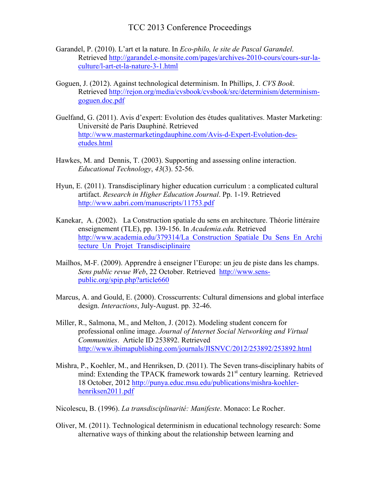- Garandel, P. (2010). L'art et la nature. In *Eco-philo, le site de Pascal Garandel*. Retrieved http://garandel.e-monsite.com/pages/archives-2010-cours/cours-sur-laculture/l-art-et-la-nature-3-1.html
- Goguen, J. (2012). Against technological determinism. In Phillips, J. *CVS Book*. Retrieved http://rejon.org/media/cvsbook/cvsbook/src/determinism/determinismgoguen.doc.pdf
- Guelfand, G. (2011). Avis d'expert: Evolution des études qualitatives. Master Marketing: Université de Paris Dauphiné. Retrieved http://www.mastermarketingdauphine.com/Avis-d-Expert-Evolution-desetudes.html
- Hawkes, M. and Dennis, T. (2003). Supporting and assessing online interaction. *Educational Technology*, *43*(3). 52-56.
- Hyun, E. (2011). Transdisciplinary higher education curriculum : a complicated cultural artifact. *Research in Higher Education Journal*. Pp. 1-19. Retrieved http://www.aabri.com/manuscripts/11753.pdf
- Kanekar, A. (2002). La Construction spatiale du sens en architecture. Théorie littéraire enseignement (TLE), pp. 139-156. In *Academia.edu.* Retrieved http://www.academia.edu/379314/La\_Construction\_Spatiale\_Du\_Sens\_En\_Archi tecture Un Projet Transdisciplinaire
- Mailhos, M-F. (2009). Apprendre à enseigner l'Europe: un jeu de piste dans les champs. *Sens public revue Web*, 22 October. Retrieved http://www.senspublic.org/spip.php?article660
- Marcus, A. and Gould, E. (2000). Crosscurrents: Cultural dimensions and global interface design. *Interactions*, July-August. pp. 32-46.
- Miller, R., Salmona, M., and Melton, J. (2012). Modeling student concern for professional online image. *Journal of Internet Social Networking and Virtual Communities*. Article ID 253892. Retrieved http://www.ibimapublishing.com/journals/JISNVC/2012/253892/253892.html
- Mishra, P., Koehler, M., and Henriksen, D. (2011). The Seven trans-disciplinary habits of mind: Extending the TPACK framework towards  $21<sup>st</sup>$  century learning. Retrieved 18 October, 2012 http://punya.educ.msu.edu/publications/mishra-koehlerhenriksen2011.pdf
- Nicolescu, B. (1996). *La transdisciplinarité: Manifeste*. Monaco: Le Rocher.
- Oliver, M. (2011). Technological determinism in educational technology research: Some alternative ways of thinking about the relationship between learning and